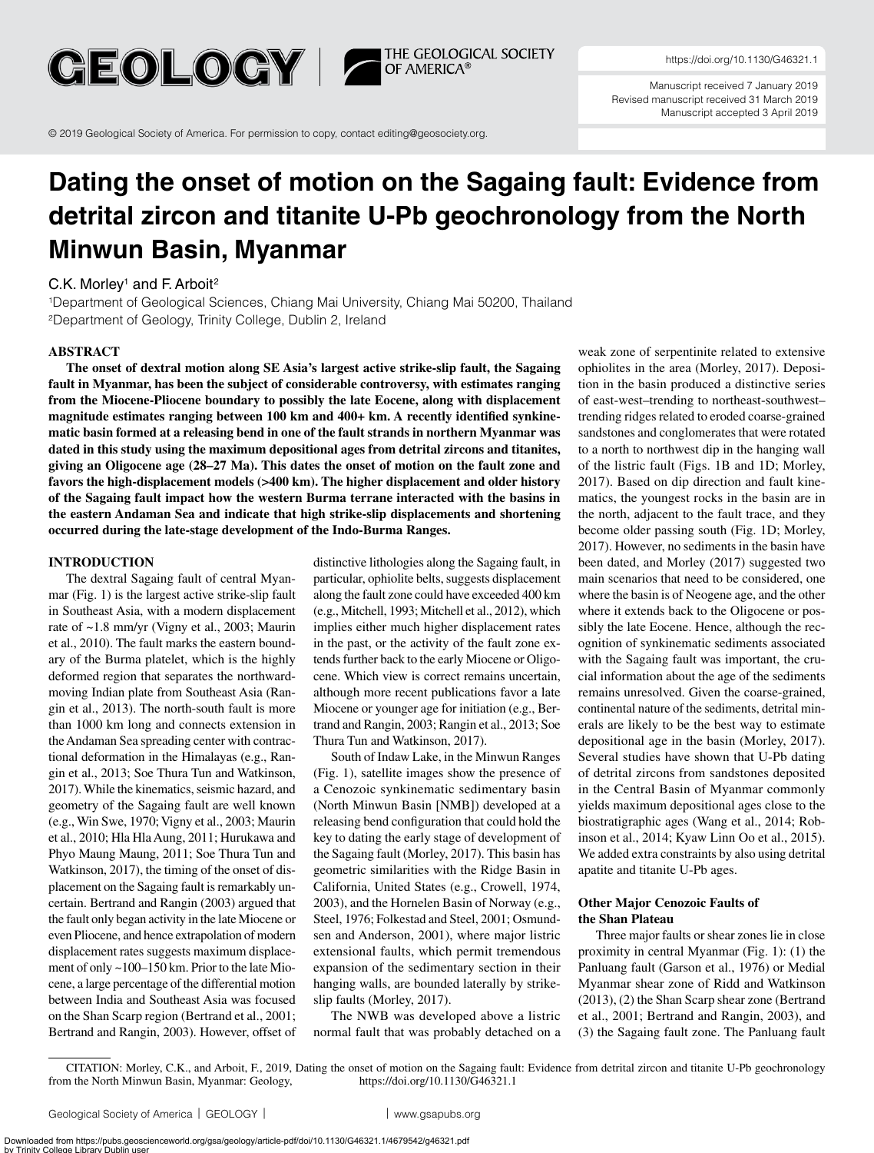**GEOLOGY 17** 

THE GEOLOGICAL SOCIETY<br>OF AMERICA®

<https://doi.org/10.1130/G46321.1>

Manuscript received 7 January 2019 Revised manuscript received 31 March 2019 Manuscript accepted 3 April 2019

© 2019 [Geological Society of America. For permission to copy, contact editing@geosociety.org.](mailto:editing%40geosociety.org?subject=GSA%20Geology%20Article%20)

# **Dating the onset of motion on the Sagaing fault: Evidence from detrital zircon and titanite U-Pb geochronology from the North Minwun Basin, Myanmar**

## $C.K.$  Morley<sup>1</sup> and F. Arboit<sup>2</sup>

1Department of Geological Sciences, Chiang Mai University, Chiang Mai 50200, Thailand 2Department of Geology, Trinity College, Dublin 2, Ireland

### **ABSTRACT**

**The onset of dextral motion along SE Asia's largest active strike-slip fault, the Sagaing fault in Myanmar, has been the subject of considerable controversy, with estimates ranging from the Miocene-Pliocene boundary to possibly the late Eocene, along with displacement magnitude estimates ranging between 100 km and 400+ km. A recently identified synkinematic basin formed at a releasing bend in one of the fault strands in northern Myanmar was dated in this study using the maximum depositional ages from detrital zircons and titanites, giving an Oligocene age (28–27 Ma). This dates the onset of motion on the fault zone and favors the high-displacement models (>400 km). The higher displacement and older history of the Sagaing fault impact how the western Burma terrane interacted with the basins in the eastern Andaman Sea and indicate that high strike-slip displacements and shortening occurred during the late-stage development of the Indo-Burma Ranges.**

## **INTRODUCTION**

The dextral Sagaing fault of central Myanmar (Fig. 1) is the largest active strike-slip fault in Southeast Asia, with a modern displacement rate of ~1.8 mm/yr (Vigny et al., 2003; Maurin et al., 2010). The fault marks the eastern boundary of the Burma platelet, which is the highly deformed region that separates the northwardmoving Indian plate from Southeast Asia (Rangin et al., 2013). The north-south fault is more than 1000 km long and connects extension in the Andaman Sea spreading center with contractional deformation in the Himalayas (e.g., Rangin et al., 2013; Soe Thura Tun and Watkinson, 2017). While the kinematics, seismic hazard, and geometry of the Sagaing fault are well known (e.g., Win Swe, 1970; Vigny et al., 2003; Maurin et al., 2010; Hla Hla Aung, 2011; Hurukawa and Phyo Maung Maung, 2011; Soe Thura Tun and Watkinson, 2017), the timing of the onset of displacement on the Sagaing fault is remarkably uncertain. Bertrand and Rangin (2003) argued that the fault only began activity in the late Miocene or even Pliocene, and hence extrapolation of modern displacement rates suggests maximum displacement of only ~100–150 km. Prior to the late Miocene, a large percentage of the differential motion between India and Southeast Asia was focused on the Shan Scarp region (Bertrand et al., 2001; Bertrand and Rangin, 2003). However, offset of distinctive lithologies along the Sagaing fault, in particular, ophiolite belts, suggests displacement along the fault zone could have exceeded 400 km (e.g., Mitchell, 1993; Mitchell et al., 2012), which implies either much higher displacement rates in the past, or the activity of the fault zone extends further back to the early Miocene or Oligocene. Which view is correct remains uncertain, although more recent publications favor a late Miocene or younger age for initiation (e.g., Bertrand and Rangin, 2003; Rangin et al., 2013; Soe Thura Tun and Watkinson, 2017).

South of Indaw Lake, in the Minwun Ranges (Fig. 1), satellite images show the presence of a Cenozoic synkinematic sedimentary basin (North Minwun Basin [NMB]) developed at a releasing bend configuration that could hold the key to dating the early stage of development of the Sagaing fault (Morley, 2017). This basin has geometric similarities with the Ridge Basin in California, United States (e.g., Crowell, 1974, 2003), and the Hornelen Basin of Norway (e.g., Steel, 1976; Folkestad and Steel, 2001; Osmundsen and Anderson, 2001), where major listric extensional faults, which permit tremendous expansion of the sedimentary section in their hanging walls, are bounded laterally by strikeslip faults (Morley, 2017).

The NWB was developed above a listric normal fault that was probably detached on a

weak zone of serpentinite related to extensive ophiolites in the area (Morley, 2017). Deposition in the basin produced a distinctive series of east-west–trending to northeast-southwest– trending ridges related to eroded coarse-grained sandstones and conglomerates that were rotated to a north to northwest dip in the hanging wall of the listric fault (Figs. 1B and 1D; Morley, 2017). Based on dip direction and fault kinematics, the youngest rocks in the basin are in the north, adjacent to the fault trace, and they become older passing south (Fig. 1D; Morley, 2017). However, no sediments in the basin have been dated, and Morley (2017) suggested two main scenarios that need to be considered, one where the basin is of Neogene age, and the other where it extends back to the Oligocene or possibly the late Eocene. Hence, although the recognition of synkinematic sediments associated with the Sagaing fault was important, the crucial information about the age of the sediments remains unresolved. Given the coarse-grained, continental nature of the sediments, detrital minerals are likely to be the best way to estimate depositional age in the basin (Morley, 2017). Several studies have shown that U-Pb dating of detrital zircons from sandstones deposited in the Central Basin of Myanmar commonly yields maximum depositional ages close to the biostratigraphic ages (Wang et al., 2014; Robinson et al., 2014; Kyaw Linn Oo et al., 2015). We added extra constraints by also using detrital apatite and titanite U-Pb ages.

## **Other Major Cenozoic Faults of the Shan Plateau**

Three major faults or shear zones lie in close proximity in central Myanmar (Fig. 1): (1) the Panluang fault (Garson et al., 1976) or Medial Myanmar shear zone of Ridd and Watkinson (2013), (2) the Shan Scarp shear zone (Bertrand et al., 2001; Bertrand and Rangin, 2003), and (3) the Sagaing fault zone. The Panluang fault

CITATION: Morley, C.K., and Arboit, F., 2019, Dating the onset of motion on the Sagaing fault: Evidence from detrital zircon and titanite U-Pb geochronology from the North Minwun Basin, Myanmar: Geology, <https://doi.org/10.1130/G46321.1>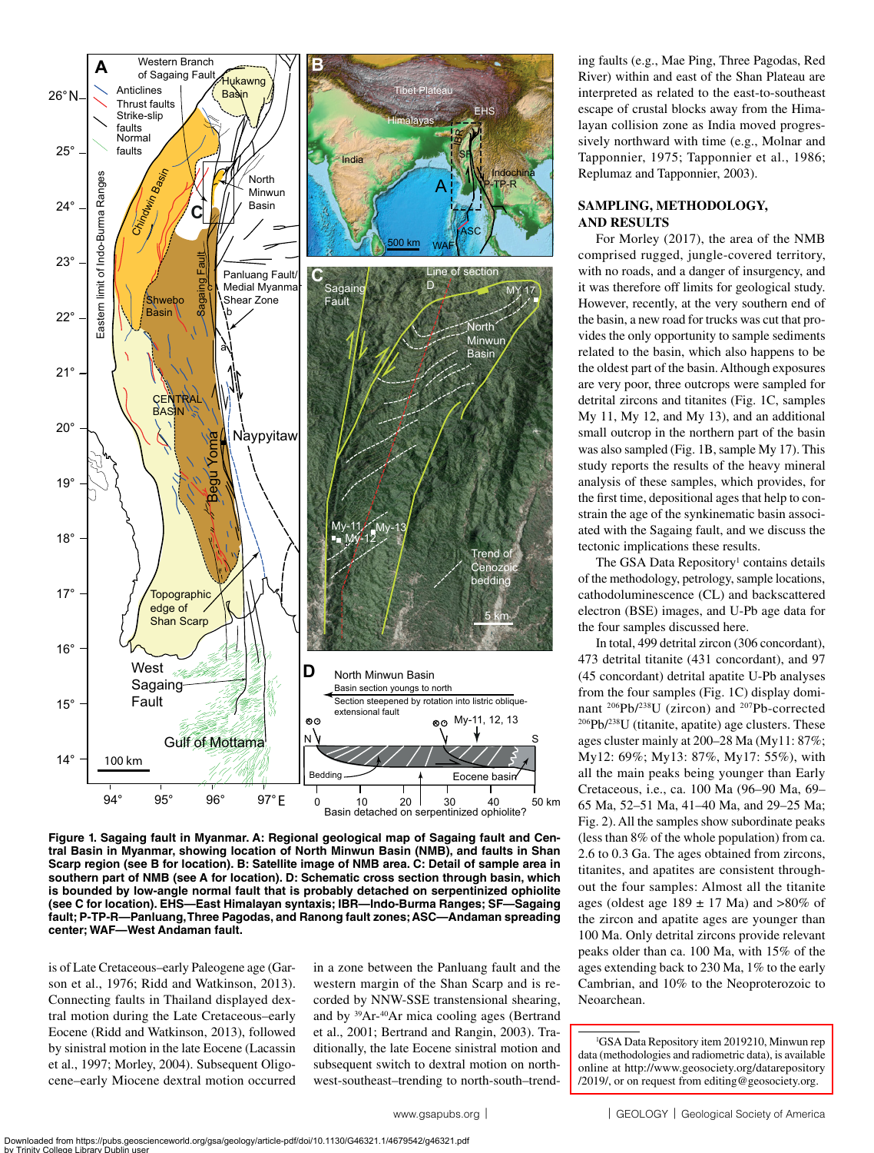

**Figure 1. Sagaing fault in Myanmar. A: Regional geological map of Sagaing fault and Central Basin in Myanmar, showing location of North Minwun Basin (NMB), and faults in Shan Scarp region (see B for location). B: Satellite image of NMB area. C: Detail of sample area in southern part of NMB (see A for location). D: Schematic cross section through basin, which is bounded by low-angle normal fault that is probably detached on serpentinized ophiolite (see C for location). EHS—East Himalayan syntaxis; IBR—Indo-Burma Ranges; SF—Sagaing fault; P-TP-R—Panluang, Three Pagodas, and Ranong fault zones; ASC—Andaman spreading center; WAF—West Andaman fault.**

is of Late Cretaceous–early Paleogene age (Garson et al., 1976; Ridd and Watkinson, 2013). Connecting faults in Thailand displayed dextral motion during the Late Cretaceous–early Eocene (Ridd and Watkinson, 2013), followed by sinistral motion in the late Eocene (Lacassin et al., 1997; Morley, 2004). Subsequent Oligocene–early Miocene dextral motion occurred

in a zone between the Panluang fault and the western margin of the Shan Scarp and is recorded by NNW-SSE transtensional shearing, and by 39Ar-40Ar mica cooling ages (Bertrand et al., 2001; Bertrand and Rangin, 2003). Traditionally, the late Eocene sinistral motion and subsequent switch to dextral motion on northwest-southeast–trending to north-south–trending faults (e.g., Mae Ping, Three Pagodas, Red River) within and east of the Shan Plateau are interpreted as related to the east-to-southeast escape of crustal blocks away from the Himalayan collision zone as India moved progressively northward with time (e.g., Molnar and Tapponnier, 1975; Tapponnier et al., 1986; Replumaz and Tapponnier, 2003).

## **SAMPLING, METHODOLOGY, AND RESULTS**

For Morley (2017), the area of the NMB comprised rugged, jungle-covered territory, with no roads, and a danger of insurgency, and it was therefore off limits for geological study. However, recently, at the very southern end of the basin, a new road for trucks was cut that provides the only opportunity to sample sediments related to the basin, which also happens to be the oldest part of the basin. Although exposures are very poor, three outcrops were sampled for detrital zircons and titanites (Fig. 1C, samples My 11, My 12, and My 13), and an additional small outcrop in the northern part of the basin was also sampled (Fig. 1B, sample My 17). This study reports the results of the heavy mineral analysis of these samples, which provides, for the first time, depositional ages that help to constrain the age of the synkinematic basin associated with the Sagaing fault, and we discuss the tectonic implications these results.

The GSA Data Repository<sup>1</sup> contains details of the methodology, petrology, sample locations, cathodoluminescence (CL) and backscattered electron (BSE) images, and U-Pb age data for the four samples discussed here.

In total, 499 detrital zircon (306 concordant), 473 detrital titanite (431 concordant), and 97 (45 concordant) detrital apatite U-Pb analyses from the four samples (Fig. 1C) display dominant <sup>206</sup>Pb/<sup>238</sup>U (zircon) and <sup>207</sup>Pb-corrected<br><sup>206</sup>Pb/<sup>238</sup>U (titanite, apatite) age clusters. These ages cluster mainly at 200–28 Ma (My11: 87%; My12: 69%; My13: 87%, My17: 55%), with all the main peaks being younger than Early Cretaceous, i.e., ca. 100 Ma (96–90 Ma, 69– 65 Ma, 52–51 Ma, 41–40 Ma, and 29–25 Ma; Fig. 2). All the samples show subordinate peaks (less than 8% of the whole population) from ca. 2.6 to 0.3 Ga. The ages obtained from zircons, titanites, and apatites are consistent throughout the four samples: Almost all the titanite ages (oldest age  $189 \pm 17$  Ma) and  $>80\%$  of the zircon and apatite ages are younger than 100 Ma. Only detrital zircons provide relevant peaks older than ca. 100 Ma, with 15% of the ages extending back to 230 Ma, 1% to the early Cambrian, and 10% to the Neoproterozoic to Neoarchean.

<sup>1</sup> GSA Data Repository item 2019210, Minwun rep data (methodologies and radiometric data), is available [online at http://www.geosociety.org/datarepository](http://www.geosociety.org/datarepository/2019/) /2019/, or on request from editing@geosociety.org.

**<sup>2</sup>** [www.gsapubs.org](http://www.gsapubs.org) |  $\qquad$  | GEOLOGY | [Geological Society of America](http://www.geosociety.org)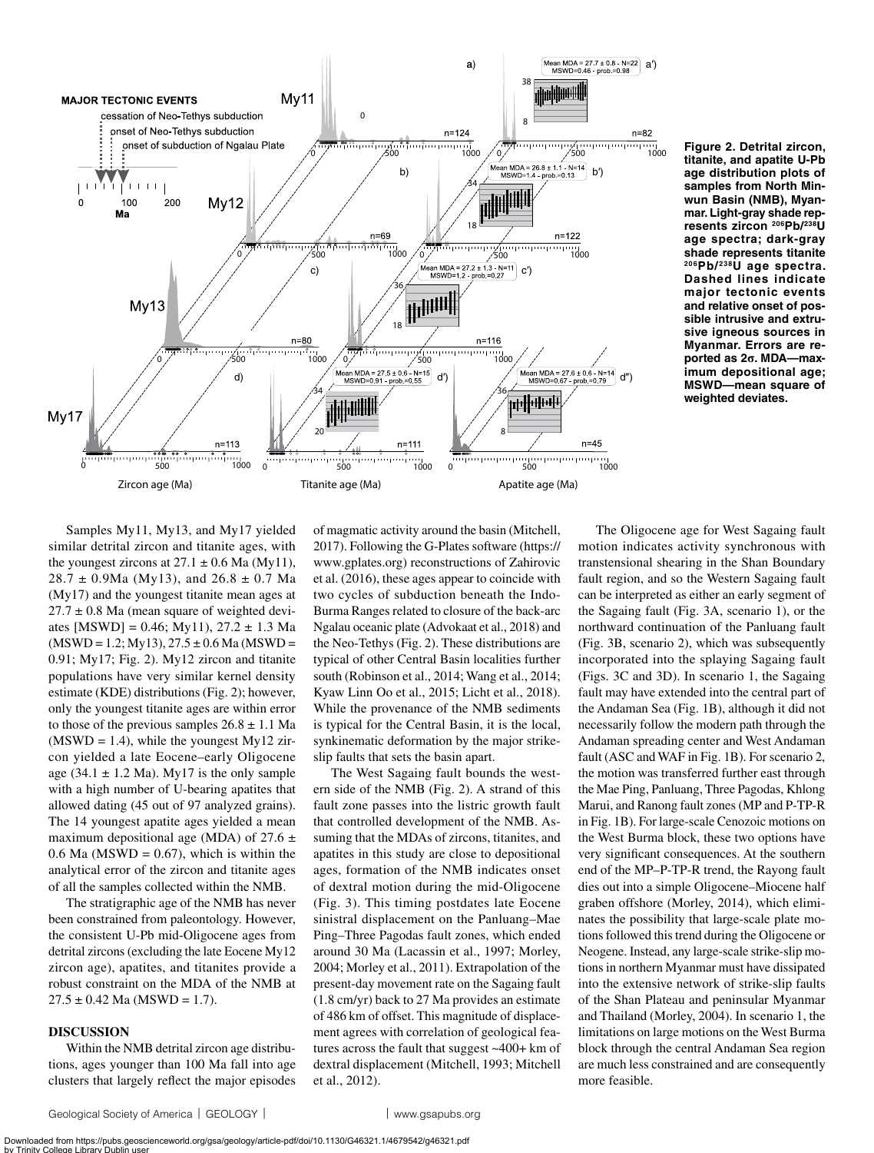

**Figure 2. Detrital zircon, titanite, and apatite U-Pb age distribution plots of samples from North Minwun Basin (NMB), Myanmar. Light-gray shade represents zircon 206Pb/238U age spectra; dark-gray shade represents titanite 206Pb/ 238U age spectra. Dashed lines indicate major tectonic events and relative onset of possible intrusive and extrusive igneous sources in Myanmar. Errors are reported as 2σ. MDA—maximum depositional age; MSWD—mean square of weighted deviates.**

Samples My11, My13, and My17 yielded similar detrital zircon and titanite ages, with the youngest zircons at  $27.1 \pm 0.6$  Ma (My11),  $28.7 \pm 0.9$ Ma (My13), and  $26.8 \pm 0.7$  Ma (My17) and the youngest titanite mean ages at  $27.7 \pm 0.8$  Ma (mean square of weighted deviates [MSWD] = 0.46; My11), 27.2 ± 1.3 Ma  $(MSWD = 1.2; My13), 27.5 \pm 0.6$  Ma  $(MSWD =$ 0.91; My17; Fig. 2). My12 zircon and titanite populations have very similar kernel density estimate (KDE) distributions (Fig. 2); however, only the youngest titanite ages are within error to those of the previous samples  $26.8 \pm 1.1$  Ma  $(MSWD = 1.4)$ , while the youngest My12 zircon yielded a late Eocene–early Oligocene age (34.1  $\pm$  1.2 Ma). My17 is the only sample with a high number of U-bearing apatites that allowed dating (45 out of 97 analyzed grains). The 14 youngest apatite ages yielded a mean maximum depositional age (MDA) of 27.6  $\pm$  $0.6$  Ma (MSWD = 0.67), which is within the analytical error of the zircon and titanite ages of all the samples collected within the NMB.

The stratigraphic age of the NMB has never been constrained from paleontology. However, the consistent U-Pb mid-Oligocene ages from detrital zircons (excluding the late Eocene My12 zircon age), apatites, and titanites provide a robust constraint on the MDA of the NMB at  $27.5 \pm 0.42$  Ma (MSWD = 1.7).

#### **DISCUSSION**

Within the NMB detrital zircon age distributions, ages younger than 100 Ma fall into age clusters that largely reflect the major episodes

of magmatic activity around the basin (Mitchell, 2017). Following the G-Plates software [\(https://](https://www.gplates.org) [www.gplates.org\)](https://www.gplates.org) reconstructions of Zahirovic et al. (2016), these ages appear to coincide with two cycles of subduction beneath the Indo-Burma Ranges related to closure of the back-arc Ngalau oceanic plate (Advokaat et al., 2018) and the Neo-Tethys (Fig. 2). These distributions are typical of other Central Basin localities further south (Robinson et al., 2014; Wang et al., 2014; Kyaw Linn Oo et al., 2015; Licht et al., 2018). While the provenance of the NMB sediments is typical for the Central Basin, it is the local, synkinematic deformation by the major strikeslip faults that sets the basin apart.

The West Sagaing fault bounds the western side of the NMB (Fig. 2). A strand of this fault zone passes into the listric growth fault that controlled development of the NMB. Assuming that the MDAs of zircons, titanites, and apatites in this study are close to depositional ages, formation of the NMB indicates onset of dextral motion during the mid-Oligocene (Fig. 3). This timing postdates late Eocene sinistral displacement on the Panluang–Mae Ping–Three Pagodas fault zones, which ended around 30 Ma (Lacassin et al., 1997; Morley, 2004; Morley et al., 2011). Extrapolation of the present-day movement rate on the Sagaing fault (1.8 cm/yr) back to 27 Ma provides an estimate of 486 km of offset. This magnitude of displacement agrees with correlation of geological features across the fault that suggest ~400+ km of dextral displacement (Mitchell, 1993; Mitchell et al., 2012).

The Oligocene age for West Sagaing fault motion indicates activity synchronous with transtensional shearing in the Shan Boundary fault region, and so the Western Sagaing fault can be interpreted as either an early segment of the Sagaing fault (Fig. 3A, scenario 1), or the northward continuation of the Panluang fault (Fig. 3B, scenario 2), which was subsequently incorporated into the splaying Sagaing fault (Figs. 3C and 3D). In scenario 1, the Sagaing fault may have extended into the central part of the Andaman Sea (Fig. 1B), although it did not necessarily follow the modern path through the Andaman spreading center and West Andaman fault (ASC and WAF in Fig. 1B). For scenario 2, the motion was transferred further east through the Mae Ping, Panluang, Three Pagodas, Khlong Marui, and Ranong fault zones (MP and P-TP-R in Fig. 1B). For large-scale Cenozoic motions on the West Burma block, these two options have very significant consequences. At the southern end of the MP–P-TP-R trend, the Rayong fault dies out into a simple Oligocene–Miocene half graben offshore (Morley, 2014), which eliminates the possibility that large-scale plate motions followed this trend during the Oligocene or Neogene. Instead, any large-scale strike-slip motions in northern Myanmar must have dissipated into the extensive network of strike-slip faults of the Shan Plateau and peninsular Myanmar and Thailand (Morley, 2004). In scenario 1, the limitations on large motions on the West Burma block through the central Andaman Sea region are much less constrained and are consequently more feasible.

Downloaded from https://pubs.geoscienceworld.org/gsa/geology/article-pdf/doi/10.1130/G46321.1/4679542/g46321.pdf by Trinity College Library Dublin user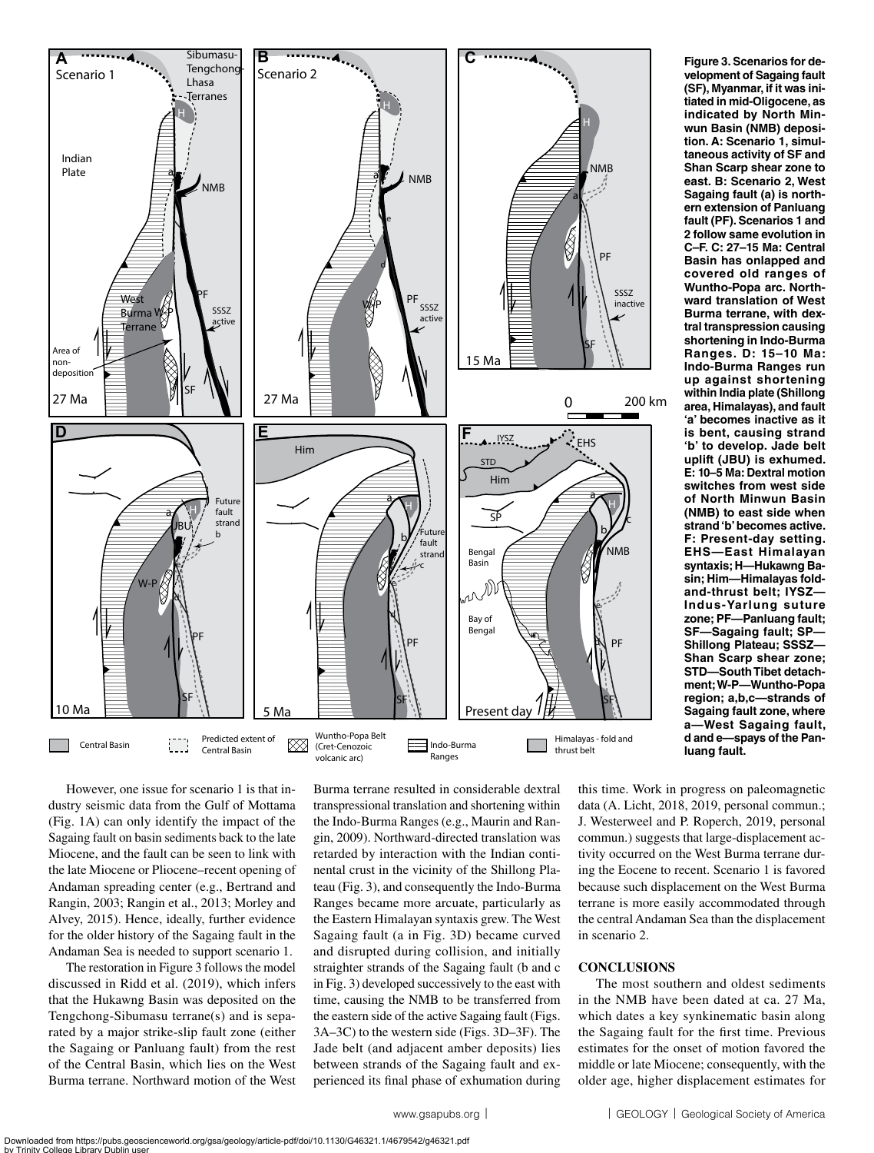

**tiated in mid-Oligocene, as indicated by North Minwun Basin (NMB) deposition. A: Scenario 1, simultaneous activity of SF and Shan Scarp shear zone to east. B: Scenario 2, West Sagaing fault (a) is northern extension of Panluang fault (PF). Scenarios 1 and 2 follow same evolution in C–F. C: 27–15 Ma: Central Basin has onlapped and covered old ranges of Wuntho-Popa arc. Northward translation of West Burma terrane, with dextral transpression causing shortening in Indo-Burma Ranges. D: 15–10 Ma: Indo-Burma Ranges run up against shortening within India plate (Shillong area, Himalayas), and fault 'a' becomes inactive as it is bent, causing strand 'b' to develop. Jade belt uplift (JBU) is exhumed. E: 10–5 Ma: Dextral motion switches from west side of North Minwun Basin (NMB) to east side when strand 'b' becomes active. F: Present-day setting. EHS—East Himalayan syntaxis; H—Hukawng Basin; Him—Himalayas foldand-thrust belt; IYSZ— Indus-Yarlung suture zone; PF—Panluang fault; SF—Sagaing fault; SP— Shillong Plateau; SSSZ— Shan Scarp shear zone; STD—South Tibet detachment; W-P—Wuntho-Popa region; a,b,c—strands of Sagaing fault zone, where a—West Sagaing fault, d and e—spays of the Panluang fault.**

**Figure 3. Scenarios for development of Sagaing fault (SF), Myanmar, if it was ini-**

However, one issue for scenario 1 is that industry seismic data from the Gulf of Mottama (Fig. 1A) can only identify the impact of the Sagaing fault on basin sediments back to the late Miocene, and the fault can be seen to link with the late Miocene or Pliocene–recent opening of Andaman spreading center (e.g., Bertrand and Rangin, 2003; Rangin et al., 2013; Morley and Alvey, 2015). Hence, ideally, further evidence for the older history of the Sagaing fault in the Andaman Sea is needed to support scenario 1.

The restoration in Figure 3 follows the model discussed in Ridd et al. (2019), which infers that the Hukawng Basin was deposited on the Tengchong-Sibumasu terrane(s) and is separated by a major strike-slip fault zone (either the Sagaing or Panluang fault) from the rest of the Central Basin, which lies on the West Burma terrane. Northward motion of the West

Burma terrane resulted in considerable dextral transpressional translation and shortening within the Indo-Burma Ranges (e.g., Maurin and Rangin, 2009). Northward-directed translation was retarded by interaction with the Indian continental crust in the vicinity of the Shillong Plateau (Fig. 3), and consequently the Indo-Burma Ranges became more arcuate, particularly as the Eastern Himalayan syntaxis grew. The West Sagaing fault (a in Fig. 3D) became curved and disrupted during collision, and initially straighter strands of the Sagaing fault (b and c in Fig. 3) developed successively to the east with time, causing the NMB to be transferred from the eastern side of the active Sagaing fault (Figs. 3A–3C) to the western side (Figs. 3D–3F). The Jade belt (and adjacent amber deposits) lies between strands of the Sagaing fault and experienced its final phase of exhumation during this time. Work in progress on paleomagnetic data (A. Licht, 2018, 2019, personal commun.; J. Westerweel and P. Roperch, 2019, personal commun.) suggests that large-displacement activity occurred on the West Burma terrane during the Eocene to recent. Scenario 1 is favored because such displacement on the West Burma terrane is more easily accommodated through the central Andaman Sea than the displacement in scenario 2.

#### **CONCLUSIONS**

The most southern and oldest sediments in the NMB have been dated at ca. 27 Ma, which dates a key synkinematic basin along the Sagaing fault for the first time. Previous estimates for the onset of motion favored the middle or late Miocene; consequently, with the older age, higher displacement estimates for